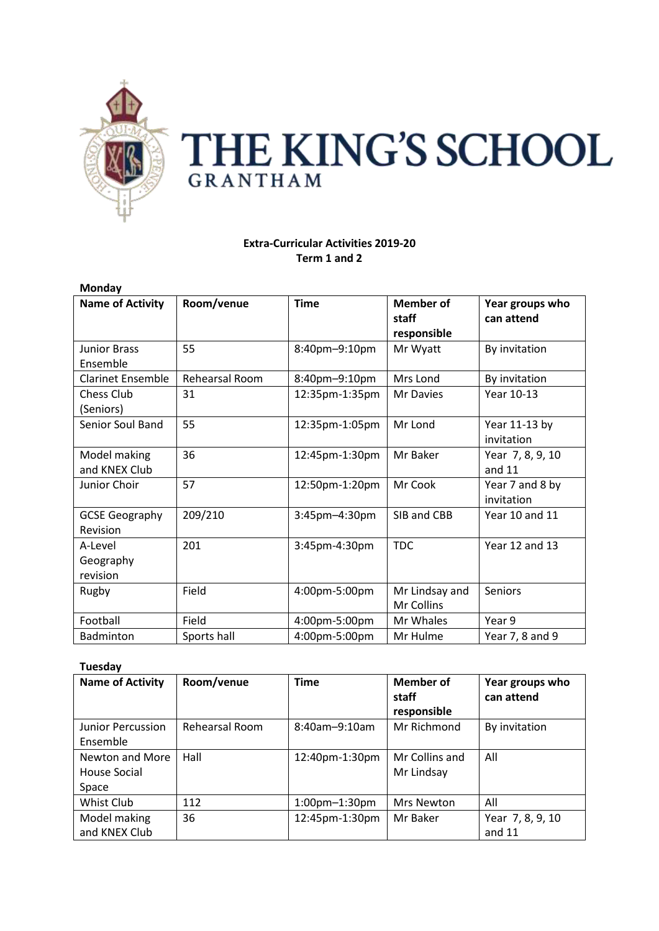

# THE KING'S SCHOOL **GRANTHAM**

# **Extra-Curricular Activities 2019-20 Term 1 and 2**

| Monday                   |                |                  |                  |                  |
|--------------------------|----------------|------------------|------------------|------------------|
| <b>Name of Activity</b>  | Room/venue     | <b>Time</b>      | <b>Member</b> of | Year groups who  |
|                          |                |                  | staff            | can attend       |
|                          |                |                  | responsible      |                  |
| <b>Junior Brass</b>      | 55             | 8:40pm-9:10pm    | Mr Wyatt         | By invitation    |
| Ensemble                 |                |                  |                  |                  |
| <b>Clarinet Ensemble</b> | Rehearsal Room | 8:40pm-9:10pm    | Mrs Lond         | By invitation    |
| Chess Club               | 31             | 12:35pm-1:35pm   | <b>Mr Davies</b> | Year 10-13       |
| (Seniors)                |                |                  |                  |                  |
| <b>Senior Soul Band</b>  | 55             | 12:35pm-1:05pm   | Mr Lond          | Year 11-13 by    |
|                          |                |                  |                  | invitation       |
| Model making             | 36             | 12:45pm-1:30pm   | Mr Baker         | Year 7, 8, 9, 10 |
| and KNEX Club            |                |                  |                  | and 11           |
| Junior Choir             | 57             | 12:50pm-1:20pm   | Mr Cook          | Year 7 and 8 by  |
|                          |                |                  |                  | invitation       |
| <b>GCSE Geography</b>    | 209/210        | 3:45pm-4:30pm    | SIB and CBB      | Year 10 and 11   |
| Revision                 |                |                  |                  |                  |
| A-Level                  | 201            | $3:45$ pm-4:30pm | TDC.             | Year 12 and 13   |
| Geography                |                |                  |                  |                  |
| revision                 |                |                  |                  |                  |
| Rugby                    | Field          | 4:00pm-5:00pm    | Mr Lindsay and   | Seniors          |
|                          |                |                  | Mr Collins       |                  |
| Football                 | Field          | 4:00pm-5:00pm    | Mr Whales        | Year 9           |
| Badminton                | Sports hall    | 4:00pm-5:00pm    | Mr Hulme         | Year 7, 8 and 9  |

### **Tuesday**

| <b>Name of Activity</b>                  | Room/venue     | <b>Time</b>          | <b>Member of</b><br>staff<br>responsible | Year groups who<br>can attend |
|------------------------------------------|----------------|----------------------|------------------------------------------|-------------------------------|
| <b>Junior Percussion</b><br>Ensemble     | Rehearsal Room | $8:40$ am $-9:10$ am | Mr Richmond                              | By invitation                 |
| Newton and More<br>House Social<br>Space | Hall           | 12:40pm-1:30pm       | Mr Collins and<br>Mr Lindsay             | All                           |
| Whist Club                               | 112            | 1:00pm-1:30pm        | Mrs Newton                               | All                           |
| Model making<br>and KNEX Club            | 36             | 12:45pm-1:30pm       | Mr Baker                                 | Year 7, 8, 9, 10<br>and $11$  |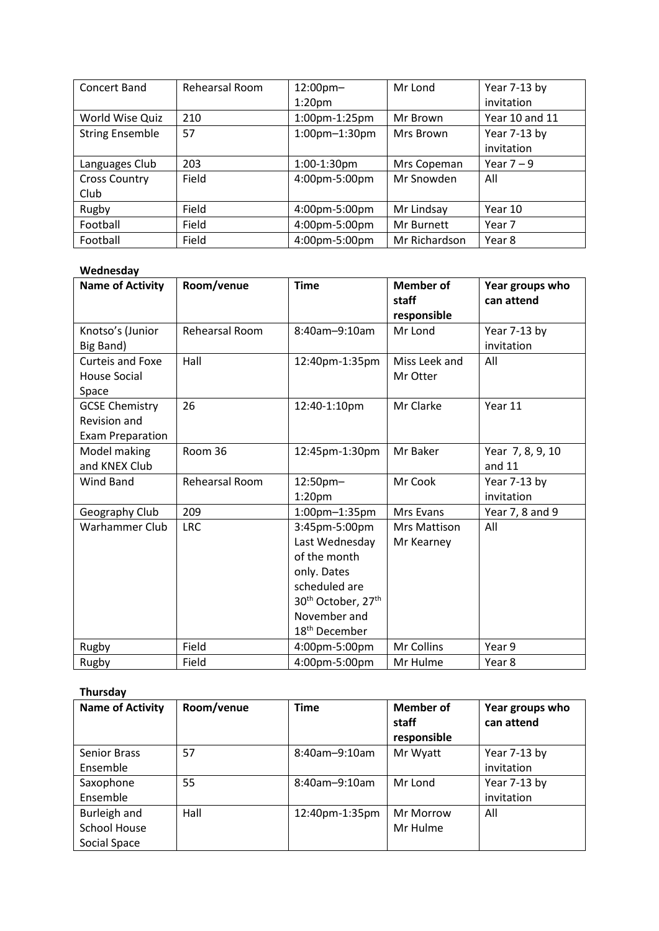| Concert Band           | Rehearsal Room | 12:00pm-           | Mr Lond       | Year 7-13 by   |
|------------------------|----------------|--------------------|---------------|----------------|
|                        |                | 1:20 <sub>pm</sub> |               | invitation     |
| World Wise Quiz        | 210            | 1:00pm-1:25pm      | Mr Brown      | Year 10 and 11 |
| <b>String Ensemble</b> | 57             | 1:00pm-1:30pm      | Mrs Brown     | Year 7-13 by   |
|                        |                |                    |               | invitation     |
| Languages Club         | 203            | 1:00-1:30pm        | Mrs Copeman   | Year $7 - 9$   |
| <b>Cross Country</b>   | Field          | 4:00pm-5:00pm      | Mr Snowden    | All            |
| Club                   |                |                    |               |                |
| Rugby                  | Field          | 4:00pm-5:00pm      | Mr Lindsay    | Year 10        |
| Football               | Field          | 4:00pm-5:00pm      | Mr Burnett    | Year 7         |
| Football               | Field          | 4:00pm-5:00pm      | Mr Richardson | Year 8         |

## **Wednesday**

| <b>Name of Activity</b>                                          | Room/venue            | <b>Time</b>                                                                                                                                                                | <b>Member of</b><br>staff<br>responsible | Year groups who<br>can attend |
|------------------------------------------------------------------|-----------------------|----------------------------------------------------------------------------------------------------------------------------------------------------------------------------|------------------------------------------|-------------------------------|
| Knotso's (Junior<br>Big Band)                                    | <b>Rehearsal Room</b> | 8:40am-9:10am                                                                                                                                                              | Mr Lond                                  | Year 7-13 by<br>invitation    |
| <b>Curteis and Foxe</b><br><b>House Social</b><br>Space          | Hall                  | 12:40pm-1:35pm                                                                                                                                                             | Miss Leek and<br>Mr Otter                | All                           |
| <b>GCSE Chemistry</b><br>Revision and<br><b>Exam Preparation</b> | 26                    | 12:40-1:10pm                                                                                                                                                               | Mr Clarke                                | Year 11                       |
| Model making<br>and KNEX Club                                    | Room 36               | 12:45pm-1:30pm                                                                                                                                                             | Mr Baker                                 | Year 7, 8, 9, 10<br>and $11$  |
| Wind Band                                                        | Rehearsal Room        | 12:50pm-<br>1:20 <sub>pm</sub>                                                                                                                                             | Mr Cook                                  | Year 7-13 by<br>invitation    |
| Geography Club                                                   | 209                   | 1:00pm-1:35pm                                                                                                                                                              | Mrs Evans                                | Year 7, 8 and 9               |
| Warhammer Club                                                   | <b>LRC</b>            | 3:45pm-5:00pm<br>Last Wednesday<br>of the month<br>only. Dates<br>scheduled are<br>30 <sup>th</sup> October, 27 <sup>th</sup><br>November and<br>18 <sup>th</sup> December | Mrs Mattison<br>Mr Kearney               | All                           |
| Rugby                                                            | Field                 | 4:00pm-5:00pm                                                                                                                                                              | Mr Collins                               | Year 9                        |
| Rugby                                                            | Field                 | 4:00pm-5:00pm                                                                                                                                                              | Mr Hulme                                 | Year 8                        |

## **Thursday**

| <b>Name of Activity</b>                             | Room/venue | Time                 | Member of<br>staff<br>responsible | Year groups who<br>can attend |
|-----------------------------------------------------|------------|----------------------|-----------------------------------|-------------------------------|
| <b>Senior Brass</b><br>Ensemble                     | 57         | $8:40$ am $-9:10$ am | Mr Wyatt                          | Year 7-13 by<br>invitation    |
| Saxophone<br>Ensemble                               | 55         | $8:40$ am $-9:10$ am | Mr Lond                           | Year 7-13 by<br>invitation    |
| Burleigh and<br><b>School House</b><br>Social Space | Hall       | 12:40pm-1:35pm       | Mr Morrow<br>Mr Hulme             | All                           |